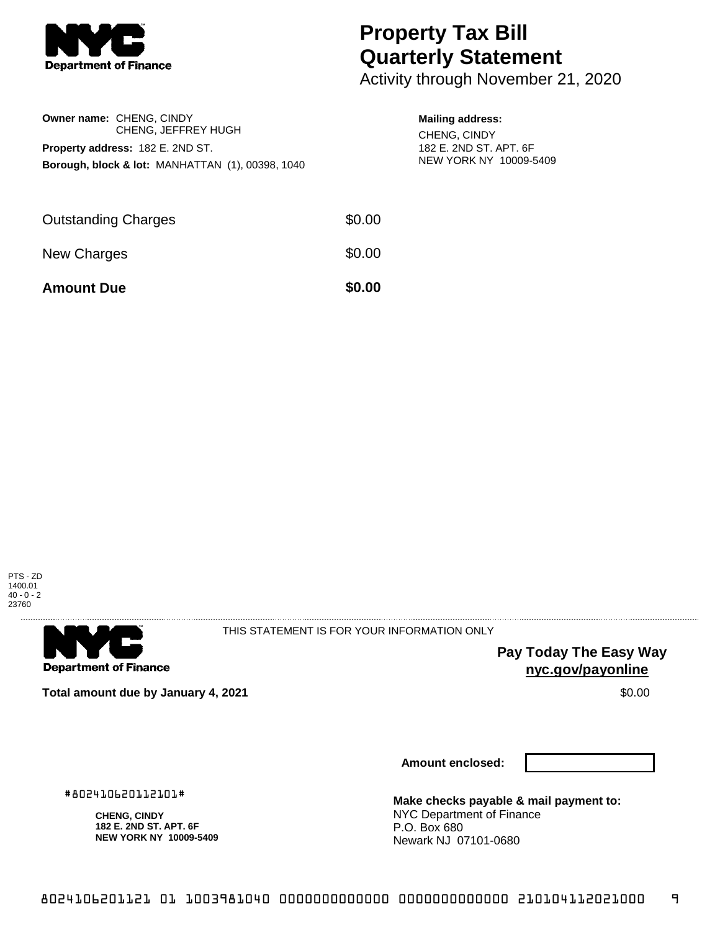

# **Property Tax Bill Quarterly Statement**

Activity through November 21, 2020

|                            | <b>Owner name: CHENG, CINDY</b><br>CHENG, JEFFREY HUGH                                                 |        | <b>Mailing address:</b><br>CHENG, CINDY          |  |
|----------------------------|--------------------------------------------------------------------------------------------------------|--------|--------------------------------------------------|--|
|                            | <b>Property address: 182 E. 2ND ST.</b><br><b>Borough, block &amp; lot: MANHATTAN (1), 00398, 1040</b> |        | 182 E. 2ND ST. APT. 6F<br>NEW YORK NY 10009-5409 |  |
| <b>Outstanding Charges</b> |                                                                                                        | \$0.00 |                                                  |  |
| New Charges                |                                                                                                        | \$0.00 |                                                  |  |

**Amount Due \$0.00** 



. . . . . . . . . . . . . . . . .

**Department of Finance** 

THIS STATEMENT IS FOR YOUR INFORMATION ONLY

**Pay Today The Easy Way nyc.gov/payonline**

**Total amount due by January 4, 2021 \$0.00** \$0.00

#802410620112101# **CHENG, CINDY 182 E. 2ND ST. APT. 6F NEW YORK NY 10009-5409** **Amount enclosed:**

**Make checks payable & mail payment to:** NYC Department of Finance P.O. Box 680 Newark NJ 07101-0680

8024106201121 01 1003981040 0000000000000 0000000000000 210104112021000 9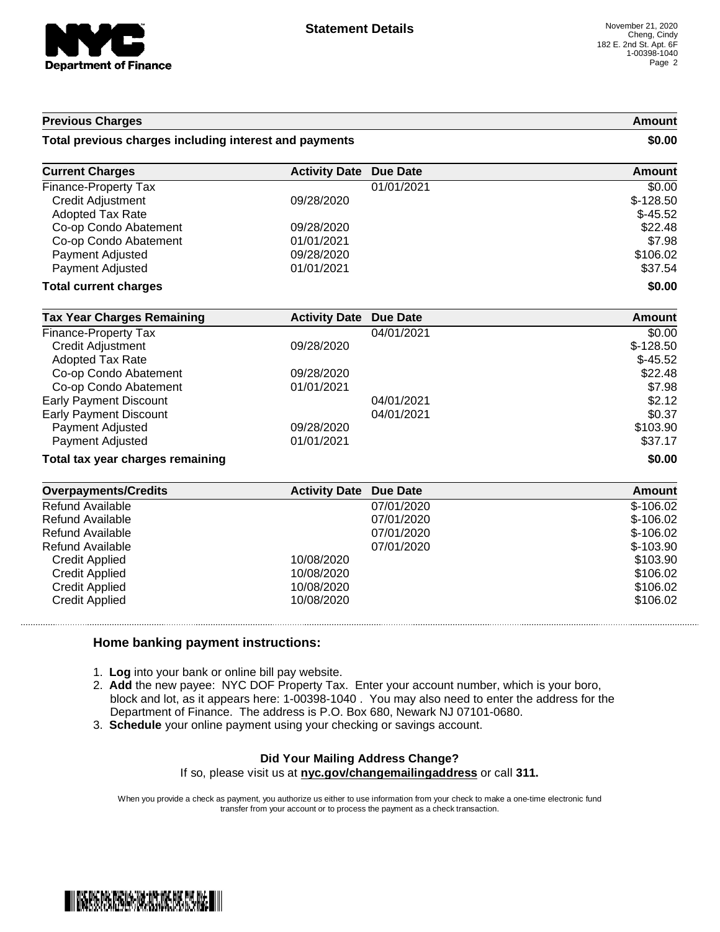

#### **Previous Charges Amount**

#### **Total previous charges including interest and payments \$0.00**

| <b>Current Charges</b>       | <b>Activity Date Due Date</b> |            | Amount     |
|------------------------------|-------------------------------|------------|------------|
| <b>Finance-Property Tax</b>  |                               | 01/01/2021 | \$0.00     |
| Credit Adjustment            | 09/28/2020                    |            | $$-128.50$ |
| <b>Adopted Tax Rate</b>      |                               |            | $$-45.52$  |
| Co-op Condo Abatement        | 09/28/2020                    |            | \$22.48    |
| Co-op Condo Abatement        | 01/01/2021                    |            | \$7.98     |
| Payment Adjusted             | 09/28/2020                    |            | \$106.02   |
| Payment Adjusted             | 01/01/2021                    |            | \$37.54    |
| <b>Total current charges</b> |                               |            | \$0.00     |

| <b>Tax Year Charges Remaining</b> | <b>Activity Date Due Date</b> |            | Amount     |
|-----------------------------------|-------------------------------|------------|------------|
| Finance-Property Tax              |                               | 04/01/2021 | \$0.00     |
| <b>Credit Adjustment</b>          | 09/28/2020                    |            | $$-128.50$ |
| <b>Adopted Tax Rate</b>           |                               |            | $$-45.52$  |
| Co-op Condo Abatement             | 09/28/2020                    |            | \$22.48    |
| Co-op Condo Abatement             | 01/01/2021                    |            | \$7.98     |
| <b>Early Payment Discount</b>     |                               | 04/01/2021 | \$2.12     |
| <b>Early Payment Discount</b>     |                               | 04/01/2021 | \$0.37     |
| Payment Adjusted                  | 09/28/2020                    |            | \$103.90   |
| Payment Adjusted                  | 01/01/2021                    |            | \$37.17    |
| Total tax year charges remaining  |                               | \$0.00     |            |

| <b>Overpayments/Credits</b> | <b>Activity Date Due Date</b> |            | Amount     |
|-----------------------------|-------------------------------|------------|------------|
| Refund Available            |                               | 07/01/2020 | $$-106.02$ |
| Refund Available            |                               | 07/01/2020 | $$-106.02$ |
| Refund Available            |                               | 07/01/2020 | $$-106.02$ |
| Refund Available            |                               | 07/01/2020 | $$-103.90$ |
| <b>Credit Applied</b>       | 10/08/2020                    |            | \$103.90   |
| <b>Credit Applied</b>       | 10/08/2020                    |            | \$106.02   |
| Credit Applied              | 10/08/2020                    |            | \$106.02   |
| Credit Applied              | 10/08/2020                    |            | \$106.02   |

### **Home banking payment instructions:**

- 1. **Log** into your bank or online bill pay website.
- 2. **Add** the new payee: NYC DOF Property Tax. Enter your account number, which is your boro, block and lot, as it appears here: 1-00398-1040 . You may also need to enter the address for the Department of Finance. The address is P.O. Box 680, Newark NJ 07101-0680.
- 3. **Schedule** your online payment using your checking or savings account.

## **Did Your Mailing Address Change?**

If so, please visit us at **nyc.gov/changemailingaddress** or call **311.**

When you provide a check as payment, you authorize us either to use information from your check to make a one-time electronic fund transfer from your account or to process the payment as a check transaction.